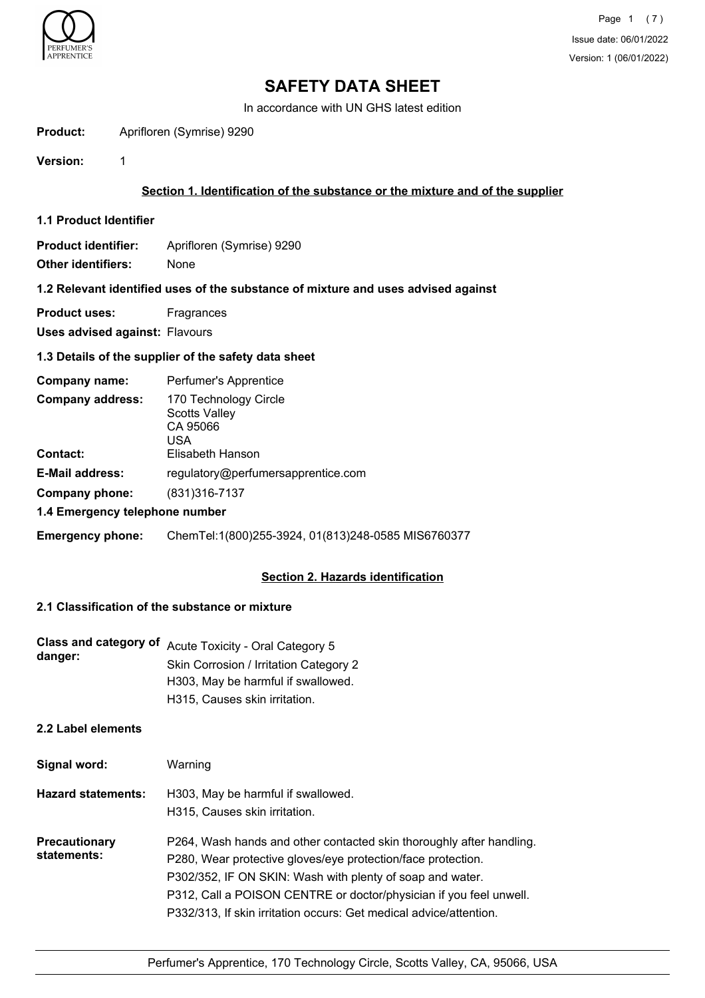

In accordance with UN GHS latest edition

**Product:** Aprifloren (Symrise) 9290

**Version:** 1

## **Section 1. Identification of the substance or the mixture and of the supplier**

**1.1 Product Identifier**

**Product identifier:** Aprifloren (Symrise) 9290 **Other identifiers:** None

#### **1.2 Relevant identified uses of the substance of mixture and uses advised against**

**Product uses:** Fragrances

**Uses advised against:** Flavours

## **1.3 Details of the supplier of the safety data sheet**

| Company name:                              | Perfumer's Apprentice                                                         |
|--------------------------------------------|-------------------------------------------------------------------------------|
| <b>Company address:</b><br><b>Contact:</b> | 170 Technology Circle<br>Scotts Valley<br>CA 95066<br>USA<br>Elisabeth Hanson |
|                                            |                                                                               |
| <b>E-Mail address:</b>                     | regulatory@perfumersapprentice.com                                            |
| Company phone:                             | (831) 316-7137                                                                |
| 1.4 Emergency telephone number             |                                                                               |
| <b>Emergency phone:</b>                    | ChemTel:1(800)255-3924, 01(813)248-0585 MIS6760377                            |

# **Section 2. Hazards identification**

#### **2.1 Classification of the substance or mixture**

| Class and category of<br>danger:    | Acute Toxicity - Oral Category 5<br>Skin Corrosion / Irritation Category 2<br>H303, May be harmful if swallowed.<br>H315. Causes skin irritation. |
|-------------------------------------|---------------------------------------------------------------------------------------------------------------------------------------------------|
| 2.2 Label elements                  |                                                                                                                                                   |
| Signal word:                        | Warning                                                                                                                                           |
| <b>Hazard statements:</b>           | H303, May be harmful if swallowed.<br>H315, Causes skin irritation.                                                                               |
| <b>Precautionary</b><br>statements: | P264, Wash hands and other contacted skin thoroughly after handling.<br>P280, Wear protective gloves/eye protection/face protection.              |

P312, Call a POISON CENTRE or doctor/physician if you feel unwell.

P302/352, IF ON SKIN: Wash with plenty of soap and water.

P332/313, If skin irritation occurs: Get medical advice/attention.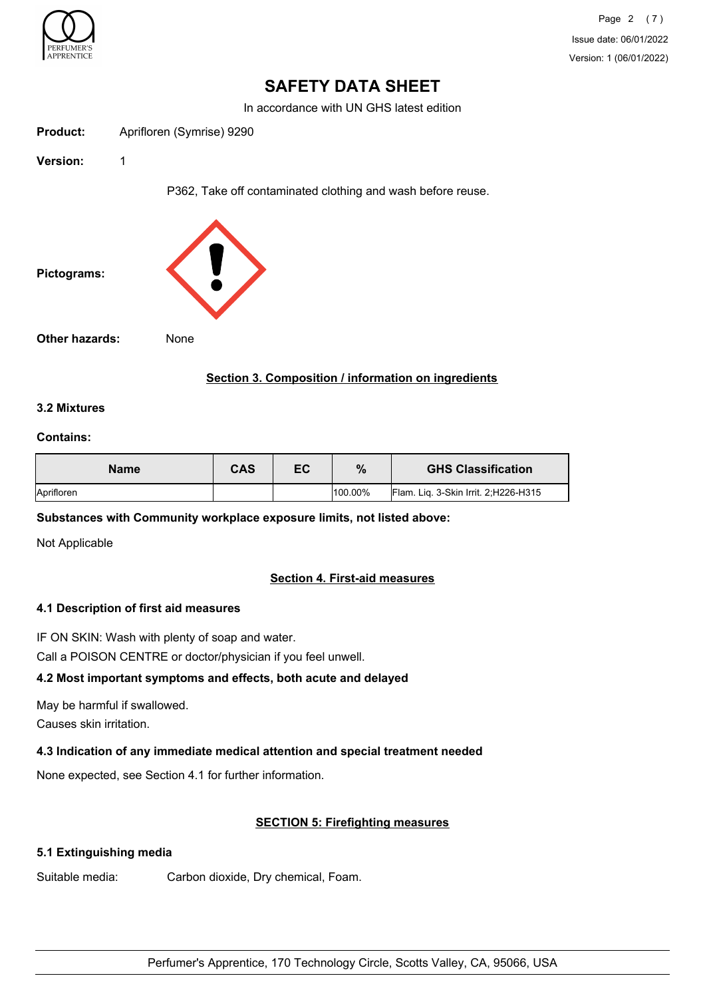

Page 2 (7) Issue date: 06/01/2022 Version: 1 (06/01/2022)

# **SAFETY DATA SHEET**

In accordance with UN GHS latest edition

| Product: | Aprifloren (Symrise) 9290 |  |
|----------|---------------------------|--|
|          |                           |  |

**Version:** 1

P362, Take off contaminated clothing and wash before reuse.



## **Section 3. Composition / information on ingredients**

#### **3.2 Mixtures**

#### **Contains:**

| <b>Name</b> | <b>CAS</b> | ЕC | %          | <b>GHS Classification</b>             |
|-------------|------------|----|------------|---------------------------------------|
| Aprifloren  |            |    | $100.00\%$ | Flam. Lig. 3-Skin Irrit. 2; H226-H315 |

#### **Substances with Community workplace exposure limits, not listed above:**

Not Applicable

#### **Section 4. First-aid measures**

#### **4.1 Description of first aid measures**

IF ON SKIN: Wash with plenty of soap and water.

Call a POISON CENTRE or doctor/physician if you feel unwell.

#### **4.2 Most important symptoms and effects, both acute and delayed**

May be harmful if swallowed.

Causes skin irritation.

#### **4.3 Indication of any immediate medical attention and special treatment needed**

None expected, see Section 4.1 for further information.

#### **SECTION 5: Firefighting measures**

#### **5.1 Extinguishing media**

Suitable media: Carbon dioxide, Dry chemical, Foam.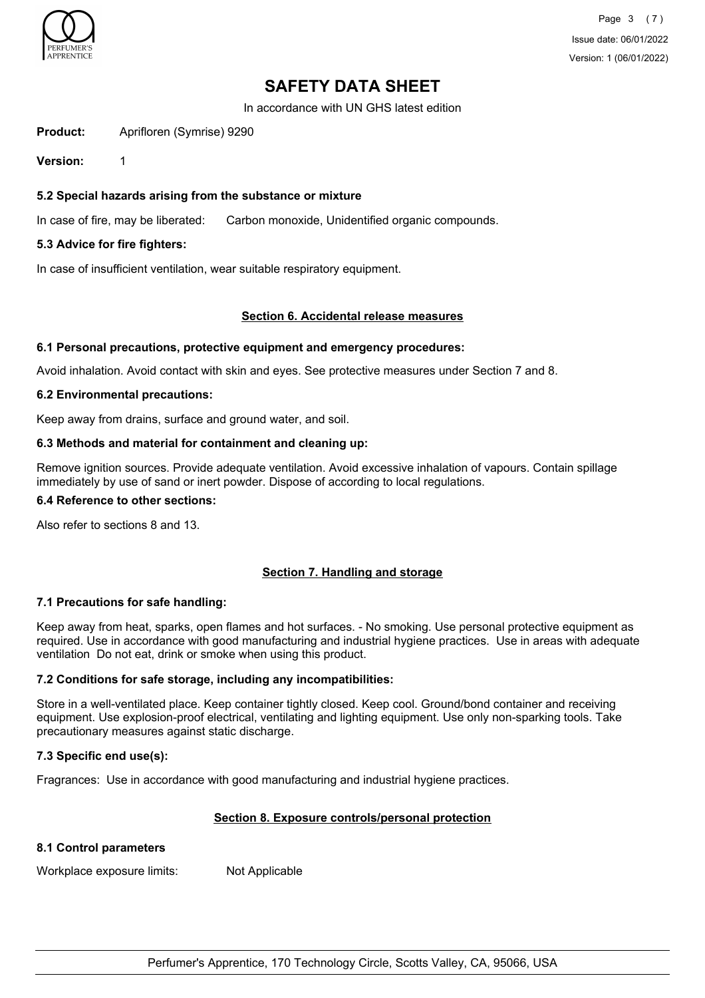

In accordance with UN GHS latest edition

**Product:** Aprifloren (Symrise) 9290

**Version:** 1

#### **5.2 Special hazards arising from the substance or mixture**

In case of fire, may be liberated: Carbon monoxide, Unidentified organic compounds.

#### **5.3 Advice for fire fighters:**

In case of insufficient ventilation, wear suitable respiratory equipment.

#### **Section 6. Accidental release measures**

#### **6.1 Personal precautions, protective equipment and emergency procedures:**

Avoid inhalation. Avoid contact with skin and eyes. See protective measures under Section 7 and 8.

#### **6.2 Environmental precautions:**

Keep away from drains, surface and ground water, and soil.

#### **6.3 Methods and material for containment and cleaning up:**

Remove ignition sources. Provide adequate ventilation. Avoid excessive inhalation of vapours. Contain spillage immediately by use of sand or inert powder. Dispose of according to local regulations.

# **6.4 Reference to other sections:**

Also refer to sections 8 and 13.

#### **Section 7. Handling and storage**

#### **7.1 Precautions for safe handling:**

Keep away from heat, sparks, open flames and hot surfaces. - No smoking. Use personal protective equipment as required. Use in accordance with good manufacturing and industrial hygiene practices. Use in areas with adequate ventilation Do not eat, drink or smoke when using this product.

#### **7.2 Conditions for safe storage, including any incompatibilities:**

Store in a well-ventilated place. Keep container tightly closed. Keep cool. Ground/bond container and receiving equipment. Use explosion-proof electrical, ventilating and lighting equipment. Use only non-sparking tools. Take precautionary measures against static discharge.

#### **7.3 Specific end use(s):**

Fragrances: Use in accordance with good manufacturing and industrial hygiene practices.

#### **Section 8. Exposure controls/personal protection**

#### **8.1 Control parameters**

Workplace exposure limits: Not Applicable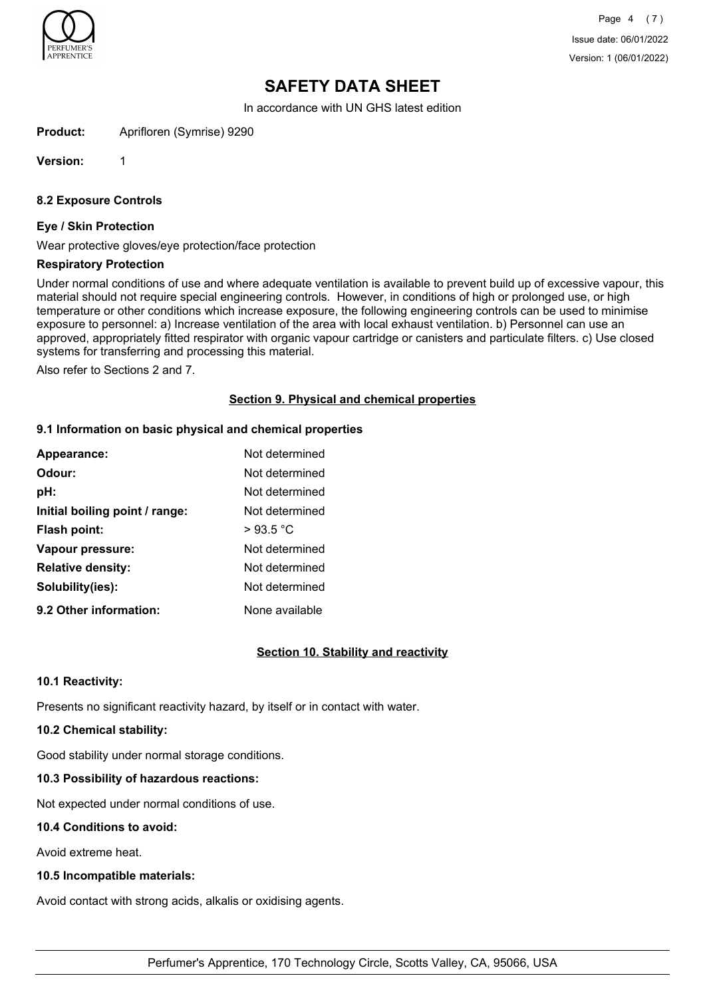

Page 4 (7) Issue date: 06/01/2022 Version: 1 (06/01/2022)

# **SAFETY DATA SHEET**

In accordance with UN GHS latest edition

**Product:** Aprifloren (Symrise) 9290

**Version:** 1

#### **8.2 Exposure Controls**

#### **Eye / Skin Protection**

Wear protective gloves/eye protection/face protection

#### **Respiratory Protection**

Under normal conditions of use and where adequate ventilation is available to prevent build up of excessive vapour, this material should not require special engineering controls. However, in conditions of high or prolonged use, or high temperature or other conditions which increase exposure, the following engineering controls can be used to minimise exposure to personnel: a) Increase ventilation of the area with local exhaust ventilation. b) Personnel can use an approved, appropriately fitted respirator with organic vapour cartridge or canisters and particulate filters. c) Use closed systems for transferring and processing this material.

Also refer to Sections 2 and 7.

#### **Section 9. Physical and chemical properties**

#### **9.1 Information on basic physical and chemical properties**

| Appearance:                    | Not determined |
|--------------------------------|----------------|
| Odour:                         | Not determined |
| pH:                            | Not determined |
| Initial boiling point / range: | Not determined |
| Flash point:                   | >93.5 °C       |
| Vapour pressure:               | Not determined |
| <b>Relative density:</b>       | Not determined |
| Solubility(ies):               | Not determined |
| 9.2 Other information:         | None available |

#### **Section 10. Stability and reactivity**

#### **10.1 Reactivity:**

Presents no significant reactivity hazard, by itself or in contact with water.

# **10.2 Chemical stability:**

Good stability under normal storage conditions.

# **10.3 Possibility of hazardous reactions:**

Not expected under normal conditions of use.

# **10.4 Conditions to avoid:**

Avoid extreme heat.

# **10.5 Incompatible materials:**

Avoid contact with strong acids, alkalis or oxidising agents.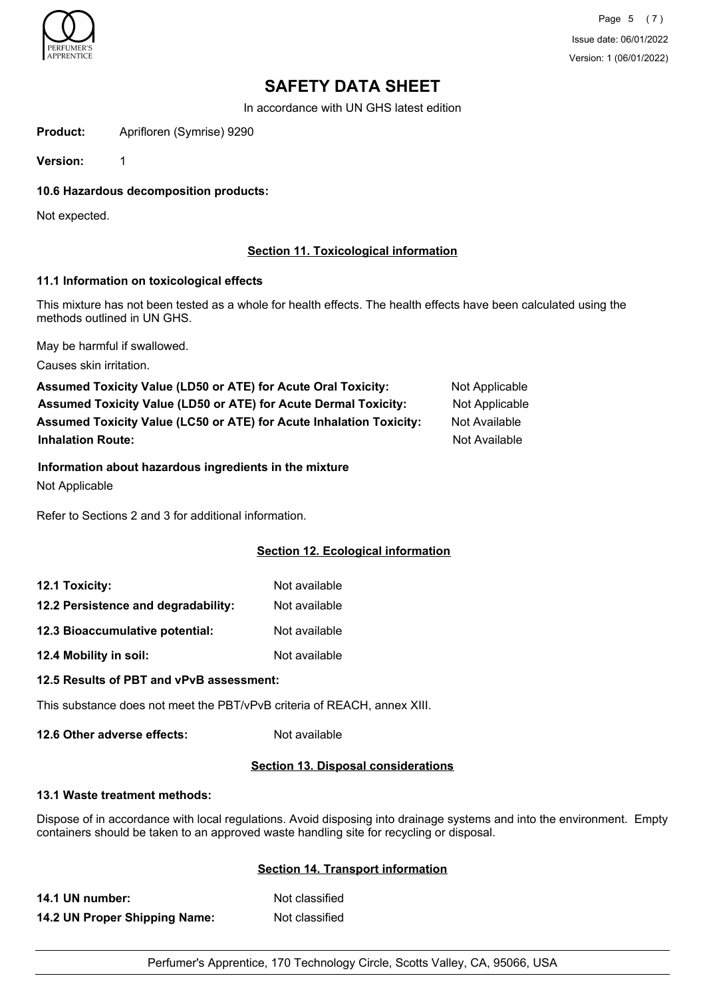

In accordance with UN GHS latest edition

**Product:** Aprifloren (Symrise) 9290

**Version:** 1

**10.6 Hazardous decomposition products:**

Not expected.

## **Section 11. Toxicological information**

#### **11.1 Information on toxicological effects**

This mixture has not been tested as a whole for health effects. The health effects have been calculated using the methods outlined in UN GHS.

May be harmful if swallowed.

Causes skin irritation.

Assumed Toxicity Value (LD50 or ATE) for Acute Oral Toxicity: Not Applicable **Assumed Toxicity Value (LD50 or ATE) for Acute Dermal Toxicity:** Not Applicable **Assumed Toxicity Value (LC50 or ATE) for Acute Inhalation Toxicity:** Not Available **Inhalation Route:** Not Available **Not Available Not Available** 

# **Information about hazardous ingredients in the mixture**

Not Applicable

Refer to Sections 2 and 3 for additional information.

#### **Section 12. Ecological information**

| 12.1 Toxicity:                      | Not available |
|-------------------------------------|---------------|
| 12.2 Persistence and degradability: | Not available |
| 12.3 Bioaccumulative potential:     | Not available |
| 12.4 Mobility in soil:              | Not available |

#### **12.5 Results of PBT and vPvB assessment:**

This substance does not meet the PBT/vPvB criteria of REACH, annex XIII.

**12.6 Other adverse effects:** Not available

#### **Section 13. Disposal considerations**

#### **13.1 Waste treatment methods:**

Dispose of in accordance with local regulations. Avoid disposing into drainage systems and into the environment. Empty containers should be taken to an approved waste handling site for recycling or disposal.

# **Section 14. Transport information**

**14.1 UN number:** Not classified **14.2 UN Proper Shipping Name:** Not classified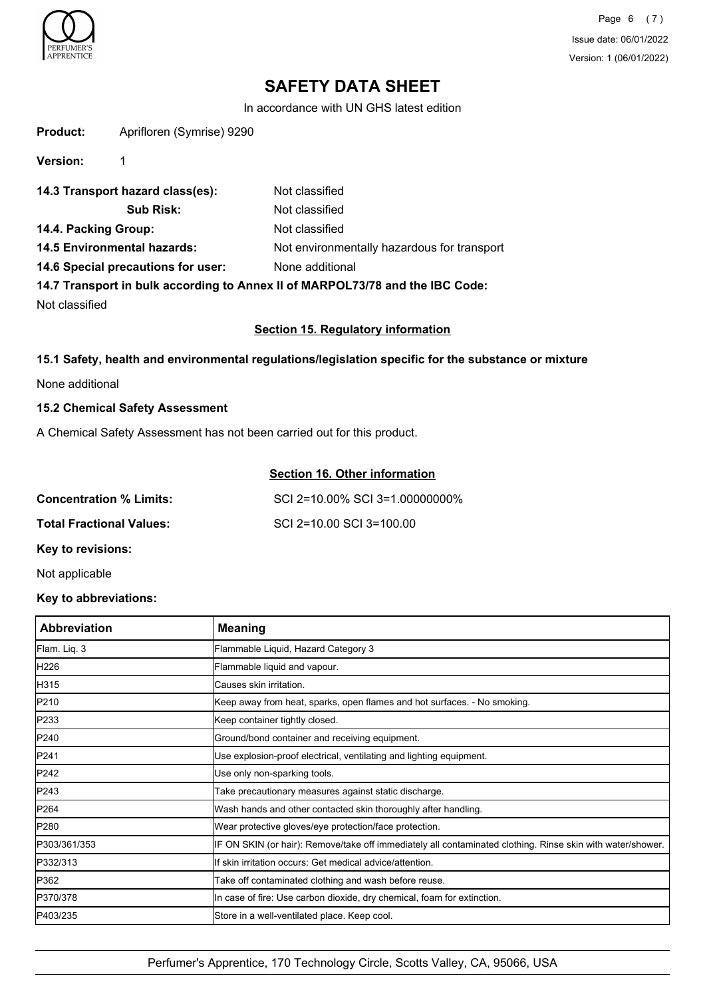

In accordance with UN GHS latest edition

| <b>Product:</b> | Aprifloren (Symrise) 9290 |
|-----------------|---------------------------|
|-----------------|---------------------------|

**Version:** 1

| 14.3 Transport hazard class(es):   | Not classified                                                                |
|------------------------------------|-------------------------------------------------------------------------------|
| <b>Sub Risk:</b>                   | Not classified                                                                |
| 14.4. Packing Group:               | Not classified                                                                |
| 14.5 Environmental hazards:        | Not environmentally hazardous for transport                                   |
| 14.6 Special precautions for user: | None additional                                                               |
|                                    | 14.7 Transport in bulk according to Annex II of MARPOL73/78 and the IBC Code: |

Not classified

#### **Section 15. Regulatory information**

## **15.1 Safety, health and environmental regulations/legislation specific for the substance or mixture**

None additional

## **15.2 Chemical Safety Assessment**

A Chemical Safety Assessment has not been carried out for this product.

# **Section 16. Other information**

| <b>Concentration % Limits:</b>  | SCI 2=10.00% SCI 3=1.00000000% |
|---------------------------------|--------------------------------|
| <b>Total Fractional Values:</b> | SCI 2=10.00 SCI 3=100.00       |
| Key to revisions:               |                                |

# Not applicable

# **Key to abbreviations:**

| <b>Abbreviation</b> | <b>Meaning</b>                                                                                             |
|---------------------|------------------------------------------------------------------------------------------------------------|
| Flam. Liq. 3        | Flammable Liquid, Hazard Category 3                                                                        |
| H226                | Flammable liquid and vapour.                                                                               |
| H315                | Causes skin irritation.                                                                                    |
| P210                | Keep away from heat, sparks, open flames and hot surfaces. - No smoking.                                   |
| P233                | Keep container tightly closed.                                                                             |
| P240                | Ground/bond container and receiving equipment.                                                             |
| P241                | Use explosion-proof electrical, ventilating and lighting equipment.                                        |
| P242                | Use only non-sparking tools.                                                                               |
| P243                | Take precautionary measures against static discharge.                                                      |
| <b>IP264</b>        | Wash hands and other contacted skin thoroughly after handling.                                             |
| P280                | Wear protective gloves/eye protection/face protection.                                                     |
| P303/361/353        | IF ON SKIN (or hair): Remove/take off immediately all contaminated clothing. Rinse skin with water/shower. |
| P332/313            | If skin irritation occurs: Get medical advice/attention.                                                   |
| P362                | Take off contaminated clothing and wash before reuse.                                                      |
| P370/378            | In case of fire: Use carbon dioxide, dry chemical, foam for extinction.                                    |
| P403/235            | Store in a well-ventilated place. Keep cool.                                                               |